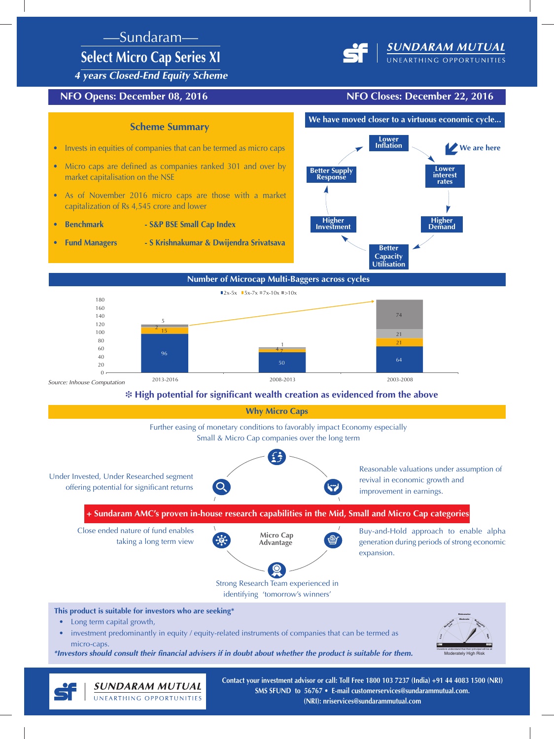## —Sundaram—

# **Select Micro Cap Series XI**



*4 years Closed-End Equity Scheme*

## **NFO Opens: December 08, 2016 NFO Closes: December 22, 2016**



\*Investors should consult their financial advisers if in doubt about whether the product is suitable for them.

**SUNDARAM MUTUAL** UNEARTHING OPPORTUNITIES



**Contact your investment advisor or call: Toll Free 1800 103 7237 (India) +91 44 4083 1500 (NRI) SMS SFUND to 56767 • E-mail customerservices@sundarammutual.com. (NRI): nriservices@sundarammutual.com**